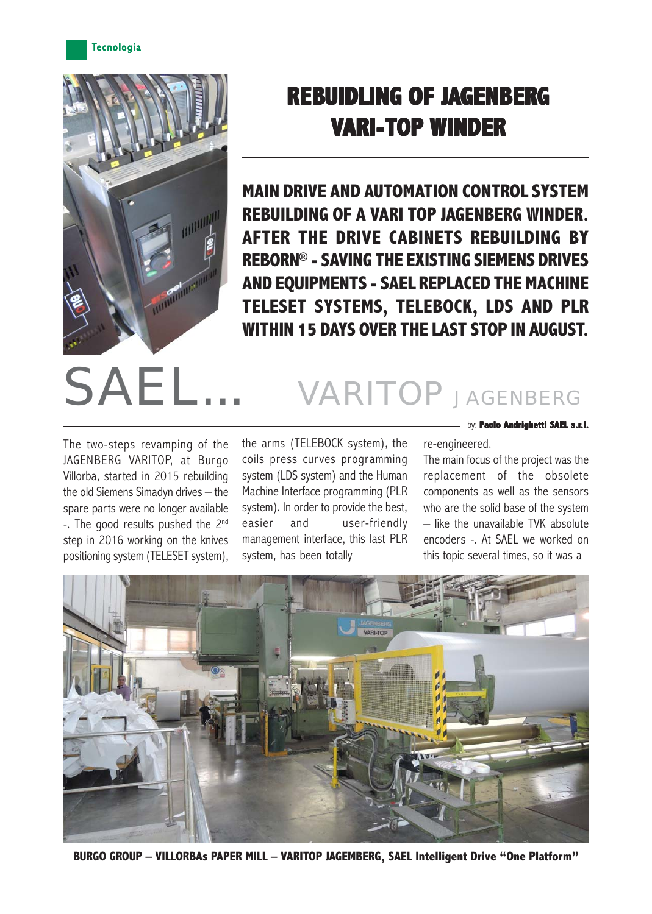**Tecnologia** 



## **REBUIDLING OF J UIDLING OF J UIDLING JAGENBERG VARI-TOP WINDER**

**MAIN DRIVE AND AUTOMATION CONTROL SYSTEM REBUILDING OF A VARI TOP JAGENBERG WINDER. AFTER THE DRIVE CABINETS REBUILDING BY REBORN® - SAVING THE EXISTING SIEMENS DRIVES AND EQUIPMENTS - SAEL REPLACED THE MACHINE TELESET SYSTEMS, TELEBOCK, LDS AND PLR WITHIN 15 DAYS OVER THE LAST STOP IN AUGUST.**

## SAEL... VARITOP JAGENBERG

The two-steps revamping of the JAGENBERG VARITOP, at Burgo Villorba, started in 2015 rebuilding the old Siemens Simadyn drives – the spare parts were no longer available -. The good results pushed the 2<sup>nd</sup> step in 2016 working on the knives positioning system (TELESET system), the arms (TELEBOCK system), the coils press curves programming system (LDS system) and the Human Machine Interface programming (PLR system). In order to provide the best, easier and user-friendly management interface, this last PLR system, has been totally

by: **Paolo Andrighetti SAEL s.r.l.**

re-engineered. The main focus of the project was the replacement of the obsolete components as well as the sensors who are the solid base of the system – like the unavailable TVK absolute encoders -. At SAEL we worked on

this topic several times, so it was a



**BURGO GROUP – VILLORBAs PAPER MILL – VARITOP JAGEMBERG, SAEL Intelligent Drive "One Platform"**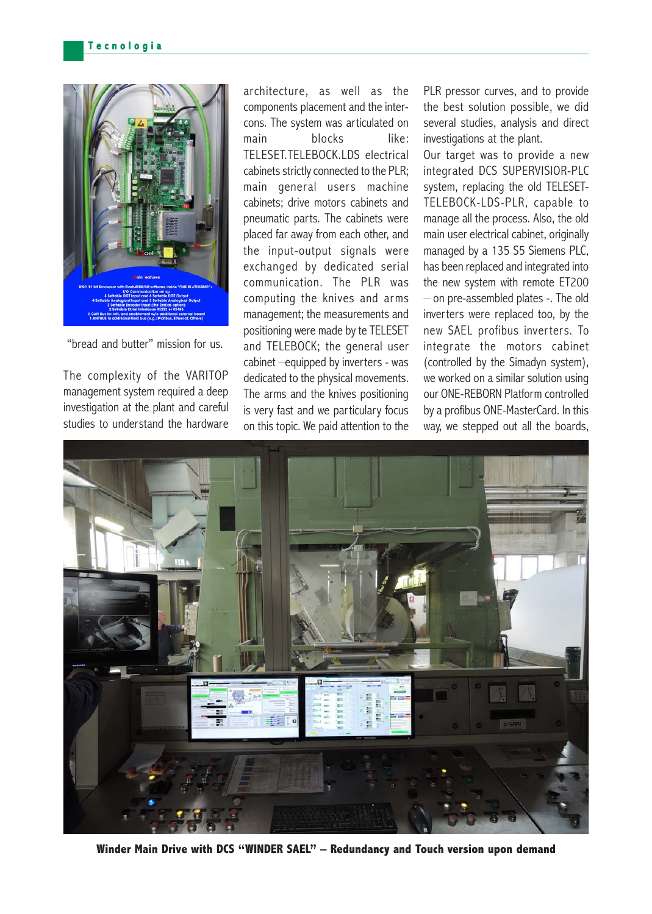

"bread and butter" mission for us.

The complexity of the VARITOP management system required a deep investigation at the plant and careful studies to understand the hardware architecture, as well as the components placement and the intercons. The system was articulated on main blocks like: TELESET.TELEBOCK.LDS electrical cabinets strictly connected to the PLR; main general users machine cabinets; drive motors cabinets and pneumatic parts. The cabinets were placed far away from each other, and the input-output signals were exchanged by dedicated serial communication. The PLR was computing the knives and arms management; the measurements and positioning were made by te TELESET and TELEBOCK; the general user cabinet –equipped by inverters - was dedicated to the physical movements. The arms and the knives positioning is very fast and we particulary focus on this topic. We paid attention to the

PLR pressor curves, and to provide the best solution possible, we did several studies, analysis and direct investigations at the plant.

Our target was to provide a new integrated DCS SUPERVISIOR-PLC system, replacing the old TELESET-TELEBOCK-LDS-PLR, capable to manage all the process. Also, the old main user electrical cabinet, originally managed by a 135 S5 Siemens PLC. has been replaced and integrated into the new system with remote ET200 – on pre-assembled plates -. The old inverters were replaced too, by the new SAEL profibus inver ters. To integrate the motors cabinet (controlled by the Simadyn system), we worked on a similar solution using our ONE-REBORN Platform controlled by a profibus ONE-MasterCard. In this way, we stepped out all the boards,



**Winder Main Drive with DCS "WINDER SAEL" – Redundancy and Touch version upon demand**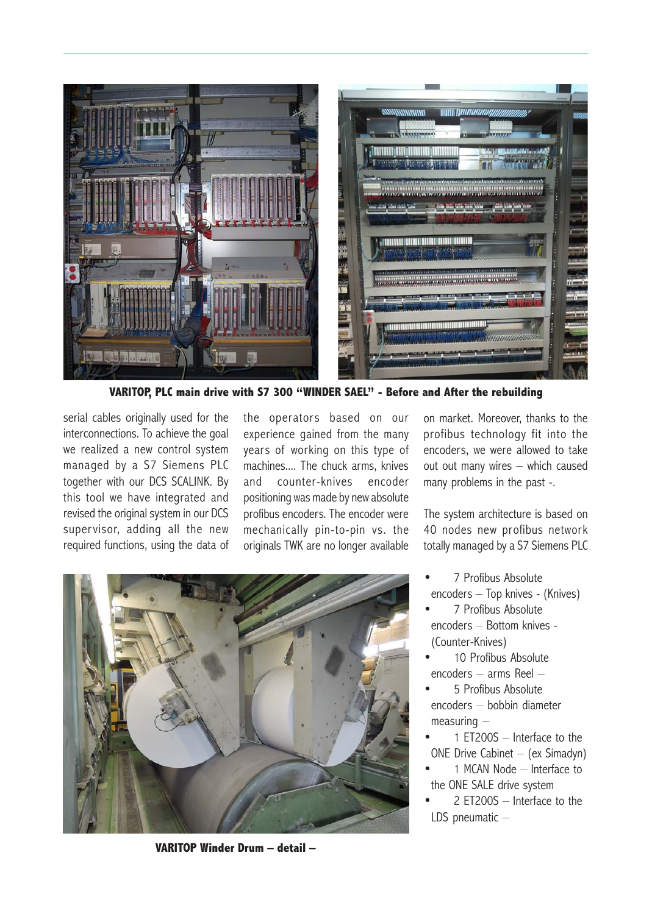

**VARITOP, PLC main drive with S7 300 "WINDER SAEL" - Before and After the rebuilding**

serial cables originally used for the interconnections. To achieve the goal we realized a new control system managed by a S7 Siemens PLC together with our DCS SCALINK. By this tool we have integrated and revised the original system in our DCS supervisor, adding all the new required functions, using the data of

the operators based on our experience gained from the many years of working on this type of machines.... The chuck arms, knives and counter-knives encoder positioning was made by new absolute profibus encoders. The encoder were mechanically pin-to-pin vs. the originals TWK are no longer available

on market. Moreover, thanks to the profibus technology fit into the encoders, we were allowed to take out out many wires – which caused many problems in the past -.

The system architecture is based on 40 nodes new profibus network totally managed by a S7 Siemens PLC

- 7 Profibus Absolute encoders – Top knives - (Knives)
- 7 Profibus Absolute encoders – Bottom knives - (Counter-Knives)
- 10 Profibus Absolute encoders – arms Reel –
- 5 Profibus Absolute encoders – bobbin diameter measuring –
- 1 ET200S Interface to the ONE Drive Cabinet – (ex Simadyn)
- 1 MCAN Node Interface to the ONE SALE drive system
- 2 ET200S Interface to the LDS pneumatic –



**VARITOP Winder Drum – detail –**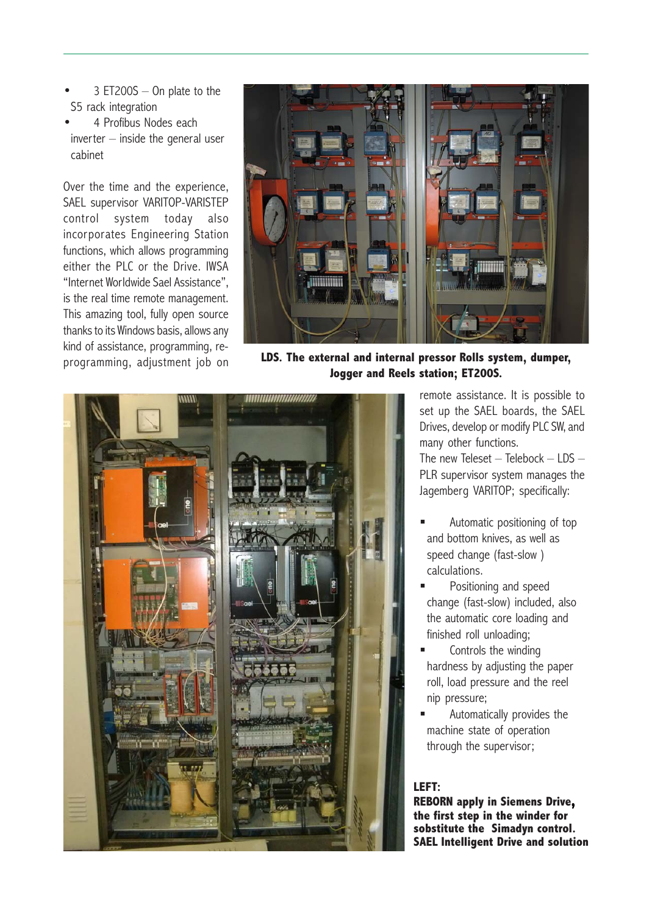- $3$  ET200S  $-$  On plate to the S5 rack integration
- 4 Profibus Nodes each inverter – inside the general user cabinet

Over the time and the experience, SAEL supervisor VARITOP-VARISTEP control system today also incorporates Engineering Station functions, which allows programming either the PLC or the Drive. IWSA "Internet Worldwide Sael Assistance", is the real time remote management. This amazing tool, fully open source thanks to its Windows basis, allows any kind of assistance, programming, reprogramming, adjustment job on



**LDS. The external and internal pressor Rolls system, dumper, Jogger and Reels station; ET200S.**



remote assistance. It is possible to set up the SAEL boards, the SAEL Drives, develop or modify PLC SW, and many other functions.

The new Teleset  $-$  Telebock  $-$  LDS  $-$ PLR supervisor system manages the Jagemberg VARITOP; specifically:

- Automatic positioning of top and bottom knives, as well as speed change (fast-slow ) calculations.
- Positioning and speed change (fast-slow) included, also the automatic core loading and finished roll unloading;
- Controls the winding hardness by adjusting the paper roll, load pressure and the reel nip pressure;
- Automatically provides the machine state of operation through the supervisor;

## **LEFT:**

**REBORN apply in Siemens Drive, the first step in the winder for sobstitute the Simadyn control. SAEL Intelligent Drive and solution**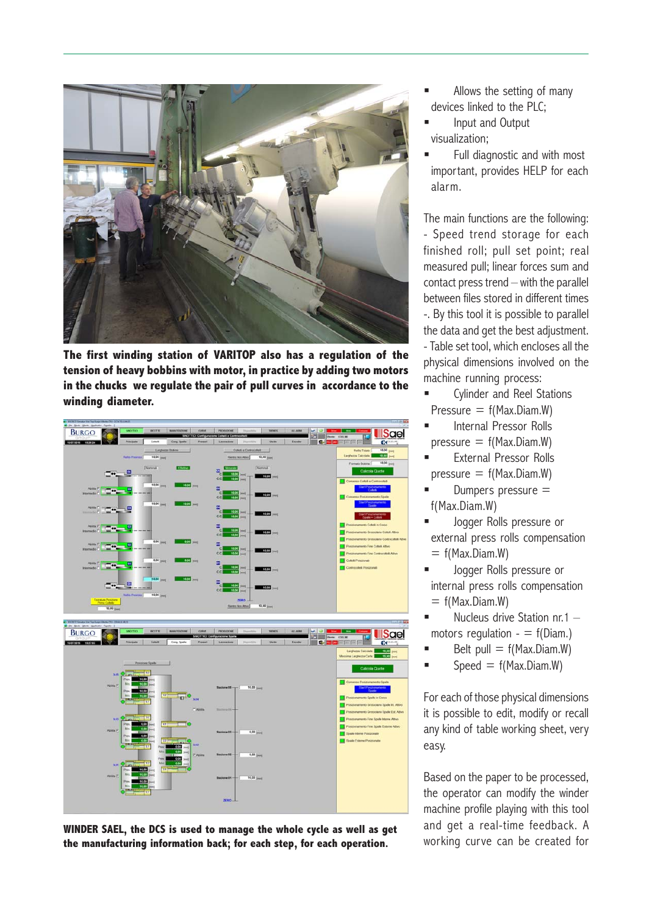

**The first winding station of VARITOP also has a regulation of the tension of heavy bobbins with motor, in practice by adding two motors in the chucks we regulate the pair of pull curves in accordance to the winding diameter.**



WINDER SAEL, the DCS is used to manage the whole cycle as well as get and get a real-time feedback. A<br>the manufacturing information back: for each step, for each operation. The working curve can be created for **the manufacturing information back; for each step, for each operation.**

- Allows the setting of many devices linked to the PLC;
- Input and Output visualization;
- Full diagnostic and with most important, provides HELP for each alarm.

The main functions are the following: - Speed trend storage for each finished roll; pull set point; real measured pull; linear forces sum and contact press trend – with the parallel between files stored in different times -. By this tool it is possible to parallel the data and get the best adjustment. - Table set tool, which encloses all the physical dimensions involved on the machine running process:

- Cylinder and Reel Stations Pressure  $= f(Max.Diam.W)$
- Internal Pressor Rolls  $presure = f(Max.Diam.W)$
- External Pressor Rolls  $presure = f(Max.Diam.W)$
- Dumpers pressure  $=$ f(Max.Diam.W)
- Jogger Rolls pressure or external press rolls compensation  $= f(Max.Diam.W)$
- Jogger Rolls pressure or internal press rolls compensation  $= f(Max.Diam.W)$
- Nucleus drive Station nr.1 motors regulation  $- = f(Diam.)$
- Belt pull  $= f(Max.Diam.W)$
- $\blacksquare$  Speed = f(Max.Diam.W)

For each of those physical dimensions it is possible to edit, modify or recall any kind of table working sheet, very easy.

Based on the paper to be processed, the operator can modify the winder machine profile playing with this tool and get a real-time feedback. A